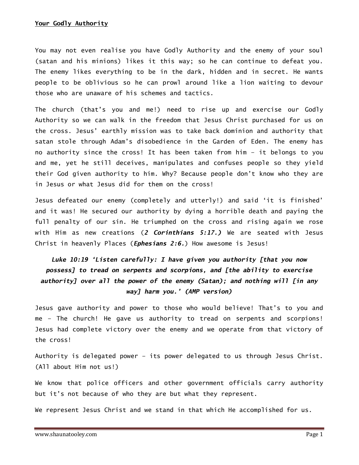You may not even realise you have Godly Authority and the enemy of your soul (satan and his minions) likes it this way; so he can continue to defeat you. The enemy likes everything to be in the dark, hidden and in secret. He wants people to be oblivious so he can prowl around like a lion waiting to devour those who are unaware of his schemes and tactics.

The church (that's you and me!) need to rise up and exercise our Godly Authority so we can walk in the freedom that Jesus Christ purchased for us on the cross. Jesus' earthly mission was to take back dominion and authority that satan stole through Adam's disobedience in the Garden of Eden. The enemy has no authority since the cross! It has been taken from him – it belongs to you and me, yet he still deceives, manipulates and confuses people so they yield their God given authority to him. Why? Because people don't know who they are in Jesus or what Jesus did for them on the cross!

Jesus defeated our enemy (completely and utterly!) and said 'it is finished' and it was! He secured our authority by dying a horrible death and paying the full penalty of our sin. He triumphed on the cross and rising again we rose with Him as new creations (2 Corinthians 5:17.) We are seated with Jesus Christ in heavenly Places (*Ephesians 2:6.*) How awesome is Jesus!

## Luke 10:19 'Listen carefully: I have given you authority [that you now possess] to tread on serpents and scorpions, and [the ability to exercise authority] over all the power of the enemy (Satan); and nothing will [in any way] harm you.' (AMP version)

Jesus gave authority and power to those who would believe! That's to you and me – The church! He gave us authority to tread on serpents and scorpions! Jesus had complete victory over the enemy and we operate from that victory of the cross!

Authority is delegated power – its power delegated to us through Jesus Christ. (All about Him not us!)

We know that police officers and other government officials carry authority but it's not because of who they are but what they represent.

We represent Jesus Christ and we stand in that which He accomplished for us.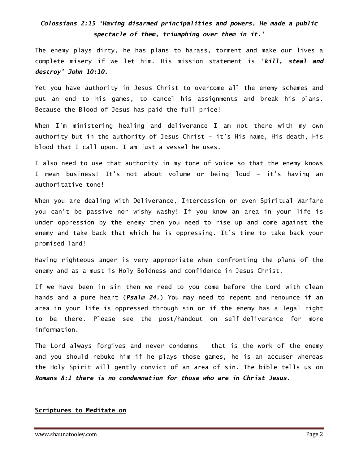## Colossians 2:15 'Having disarmed principalities and powers, He made a public spectacle of them, triumphing over them in it.'

The enemy plays dirty, he has plans to harass, torment and make our lives a complete misery if we let him. His mission statement is 'kill, steal and destroy' John 10:10.

Yet you have authority in Jesus Christ to overcome all the enemy schemes and put an end to his games, to cancel his assignments and break his plans. Because the Blood of Jesus has paid the full price!

When I'm ministering healing and deliverance I am not there with my own authority but in the authority of Jesus Christ – it's His name, His death, His blood that I call upon. I am just a vessel he uses.

I also need to use that authority in my tone of voice so that the enemy knows I mean business! It's not about volume or being loud – it's having an authoritative tone!

When you are dealing with Deliverance, Intercession or even Spiritual Warfare you can't be passive nor wishy washy! If you know an area in your life is under oppression by the enemy then you need to rise up and come against the enemy and take back that which he is oppressing. It's time to take back your promised land!

Having righteous anger is very appropriate when confronting the plans of the enemy and as a must is Holy Boldness and confidence in Jesus Christ.

If we have been in sin then we need to you come before the Lord with clean hands and a pure heart (Psalm 24.) You may need to repent and renounce if an area in your life is oppressed through sin or if the enemy has a legal right to be there. Please see the post/handout on self-deliverance for more information.

The Lord always forgives and never condemns – that is the work of the enemy and you should rebuke him if he plays those games, he is an accuser whereas the Holy Spirit will gently convict of an area of sin. The bible tells us on Romans 8:1 there is no condemnation for those who are in Christ Jesus.

## Scriptures to Meditate on